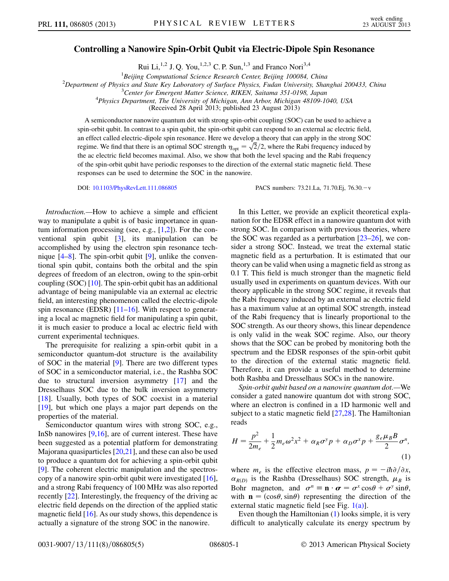## Controlling a Nanowire Spin-Orbit Qubit via Electric-Dipole Spin Resonance

Rui Li,<sup>1,2</sup> J. Q. You,<sup>1,2,3</sup> C. P. Sun,<sup>1,3</sup> and Franco Nori<sup>3,4</sup>

<sup>1</sup>Beijing Computational Science Research Center, Beijing 100084, China Beijing Computational Science Research Center, Beijing 100084, China<br><sup>2</sup>Department of Physics and State Key Laboratory of Surface Physics, Eudan University, Shay

Department of Physics and State Key Laboratory of Surface Physics, Fudan University, Shanghai 200433, China<br><sup>3</sup>Center for Emergent Matter Science, BIKEN, Saitama 351,0108, Japan

 $3$ Center for Emergent Matter Science, RIKEN, Saitama 351-0198, Japan

 $^{4}$ Physics Department, The University of Michigan, Ann Arbor, Michigan 48109-1040, USA

(Received 28 April 2013; published 23 August 2013)

A semiconductor nanowire quantum dot with strong spin-orbit coupling (SOC) can be used to achieve a spin-orbit qubit. In contrast to a spin qubit, the spin-orbit qubit can respond to an external ac electric field, an effect called electric-dipole spin resonance. Here we develop a theory that can apply in the strong SOC regime. We find that there is an optimal SOC strength  $\eta_{\text{opt}} = \sqrt{2}/2$ , where the Rabi frequency induced by the ac electric field becomes maximal. Also, we show that both the level spacing and the Rabi frequency of the spin-orbit qubit have periodic responses to the direction of the external static magnetic field. These responses can be used to determine the SOC in the nanowire.

DOI: [10.1103/PhysRevLett.111.086805](http://dx.doi.org/10.1103/PhysRevLett.111.086805) PACS numbers: 73.21.La, 71.70.Ej, 76.30. - v

Introduction.—How to achieve a simple and efficient way to manipulate a qubit is of basic importance in quantum information processing (see, e.g.,  $[1,2]$  $[1,2]$  $[1,2]$  $[1,2]$ ). For the conventional spin qubit [\[3](#page-4-2)], its manipulation can be accomplished by using the electron spin resonance technique  $[4-8]$  $[4-8]$  $[4-8]$ . The spin-orbit qubit  $[9]$  $[9]$  $[9]$ , unlike the conventional spin qubit, contains both the orbital and the spin degrees of freedom of an electron, owing to the spin-orbit coupling (SOC) [[10\]](#page-4-6). The spin-orbit qubit has an additional advantage of being manipulable via an external ac electric field, an interesting phenomenon called the electric-dipole spin resonance (EDSR)  $[11–16]$  $[11–16]$ . With respect to generating a local ac magnetic field for manipulating a spin qubit, it is much easier to produce a local ac electric field with current experimental techniques.

The prerequisite for realizing a spin-orbit qubit in a semiconductor quantum-dot structure is the availability of SOC in the material [\[9\]](#page-4-5). There are two different types of SOC in a semiconductor material, i.e., the Rashba SOC due to structural inversion asymmetry [\[17\]](#page-4-9) and the Dresselhaus SOC due to the bulk inversion asymmetry [\[18\]](#page-4-10). Usually, both types of SOC coexist in a material [\[19\]](#page-4-11), but which one plays a major part depends on the properties of the material.

Semiconductor quantum wires with strong SOC, e.g., InSb nanowires [\[9](#page-4-5)[,16\]](#page-4-8), are of current interest. These have been suggested as a potential platform for demonstrating Majorana quasiparticles [[20,](#page-4-12)[21](#page-4-13)], and these can also be used to produce a quantum dot for achieving a spin-orbit qubit [\[9\]](#page-4-5). The coherent electric manipulation and the spectroscopy of a nanowire spin-orbit qubit were investigated [[16\]](#page-4-8), and a strong Rabi frequency of 100 MHz was also reported recently [[22](#page-4-14)]. Interestingly, the frequency of the driving ac electric field depends on the direction of the applied static magnetic field [[16](#page-4-8)]. As our study shows, this dependence is actually a signature of the strong SOC in the nanowire.

In this Letter, we provide an explicit theoretical explanation for the EDSR effect in a nanowire quantum dot with strong SOC. In comparison with previous theories, where the SOC was regarded as a perturbation  $[23-26]$  $[23-26]$  $[23-26]$ , we consider a strong SOC. Instead, we treat the external static magnetic field as a perturbation. It is estimated that our theory can be valid when using a magnetic field as strong as 0.1 T. This field is much stronger than the magnetic field usually used in experiments on quantum devices. With our theory applicable in the strong SOC regime, it reveals that the Rabi frequency induced by an external ac electric field has a maximum value at an optimal SOC strength, instead of the Rabi frequency that is linearly proportional to the SOC strength. As our theory shows, this linear dependence is only valid in the weak SOC regime. Also, our theory shows that the SOC can be probed by monitoring both the spectrum and the EDSR responses of the spin-orbit qubit to the direction of the external static magnetic field. Therefore, it can provide a useful method to determine both Rashba and Dresselhaus SOCs in the nanowire.

Spin-orbit qubit based on a nanowire quantum dot.—We consider a gated nanowire quantum dot with strong SOC, where an electron is confined in a 1D harmonic well and subject to a static magnetic field [\[27](#page-4-17)[,28\]](#page-4-18). The Hamiltonian reads

<span id="page-0-0"></span>
$$
H = \frac{p^2}{2m_e} + \frac{1}{2}m_e\omega^2 x^2 + \alpha_R \sigma^y p + \alpha_D \sigma^x p + \frac{g_e \mu_B B}{2} \sigma^n,
$$
\n(1)

where  $m_e$  is the effective electron mass,  $p = -i\hbar \partial/\partial x$ ,  $\alpha_{R(D)}$  is the Rashba (Dresselhaus) SOC strength,  $\mu_B$  is Bohr magneton, and  $\sigma^n \equiv \mathbf{n} \cdot \boldsymbol{\sigma} = \sigma^x \cos \theta + \sigma^y \sin \theta$ , with  $\mathbf{n} = (\cos \theta, \sin \theta)$  representing the direction of the external static magnetic field [see Fig. [1\(a\)\]](#page-1-0).

Even though the Hamiltonian ([1\)](#page-0-0) looks simple, it is very difficult to analytically calculate its energy spectrum by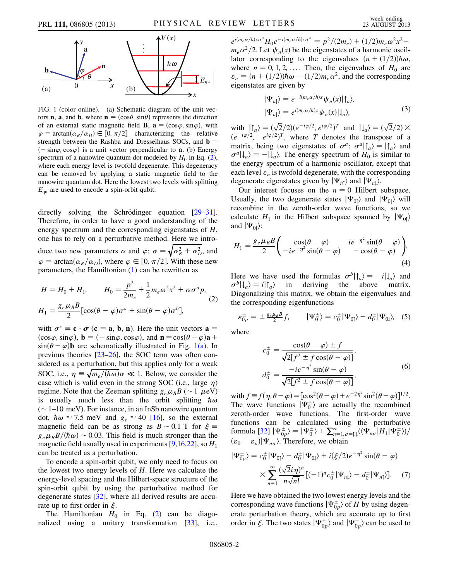

<span id="page-1-0"></span>FIG. 1 (color online). (a) Schematic diagram of the unit vectors **n**, **a**, and **b**, where **n** =  $(\cos \theta, \sin \theta)$  represents the direction of an external static magnetic field **B**,  $\mathbf{a} = (\cos \varphi, \sin \varphi)$ , with  $\varphi = \arctan(\alpha_R/\alpha_D) \in [0, \pi/2]$  characterizing the relative strength between the Rashba and Dresselhaus SOCs, and  $\mathbf{b} =$  $(-\sin\varphi, \cos\varphi)$  is a unit vector perpendicular to **a**. (b) Energy spectrum of a nanowire quantum dot modeled by  $H_0$  in Eq. ([2\)](#page-1-1), where each energy level is twofold degenerate. This degeneracy can be removed by applying a static magnetic field to the nanowire quantum dot. Here the lowest two levels with splitting  $E_{\text{qu}}$  are used to encode a spin-orbit qubit.

directly solving the Schrödinger equation  $[29-31]$  $[29-31]$  $[29-31]$ . Therefore, in order to have a good understanding of the energy spectrum and the corresponding eigenstates of H, one has to rely on a perturbative method. Here we introduce two new parameters  $\alpha$  and  $\varphi$ :  $\alpha = \sqrt{\alpha_R^2 + \alpha_D^2}$ , and  $\varphi = \arctan(\alpha_R/\alpha_D)$ , where  $\varphi \in [0, \pi/2]$ . With these new parameters, the Hamiltonian ([1\)](#page-0-0) can be rewritten as

<span id="page-1-1"></span>
$$
H = H_0 + H_1, \qquad H_0 = \frac{p^2}{2m_e} + \frac{1}{2}m_e\omega^2 x^2 + \alpha\sigma^a p,
$$
  

$$
H_1 = \frac{g_e\mu_B B}{2} [\cos(\theta - \varphi)\sigma^a + \sin(\theta - \varphi)\sigma^b],
$$
 (2)

with  $\sigma^c \equiv \mathbf{c} \cdot \boldsymbol{\sigma}$  ( $\mathbf{c} = \mathbf{a}, \mathbf{b}, \mathbf{n}$ ). Here the unit vectors  $\mathbf{a} =$  $(\cos\varphi, \sin\varphi), \mathbf{b} = (-\sin\varphi, \cos\varphi), \text{ and } \mathbf{n} = \cos(\theta - \varphi)\mathbf{a} + \mathbf{b}$  $\sin(\theta - \varphi)$ **b** are schematically illustrated in Fig. [1\(a\)](#page-1-0). In previous theories [\[23–](#page-4-15)[26](#page-4-16)], the SOC term was often considered as a perturbation, but this applies only for a weak SOC, i.e.,  $\eta \equiv \sqrt{m_e/(\hbar \omega)} \alpha \ll 1$ . Below, we consider the case which is valid even in the strong SOC (i.e., large  $\eta$ ) regime. Note that the Zeeman splitting  $g_e\mu_B B$  (~1  $\mu$ eV) is usually much less than the orbit splitting  $\hbar \omega$  $(1–10 \text{ meV})$ . For instance, in an InSb nanowire quantum dot,  $\hbar \omega \approx 7.5$  meV and  $g_e \approx 40$  [\[16\]](#page-4-8), so the external magnetic field can be as strong as  $B \sim 0.1$  T for  $\xi =$  $g_e\mu_B B/(\hbar\omega) \sim 0.03$ . This field is much stronger than the magnetic field usually used in experiments [[9](#page-4-5),[16](#page-4-8),[22](#page-4-14)], so  $H_1$ can be treated as a perturbation.

To encode a spin-orbit qubit, we only need to focus on the lowest two energy levels of H. Here we calculate the energy-level spacing and the Hilbert-space structure of the spin-orbit qubit by using the perturbative method for degenerate states [[32](#page-4-21)], where all derived results are accurate up to first order in  $\xi$ .

The Hamiltonian  $H_0$  in Eq. ([2\)](#page-1-1) can be diagonalized using a unitary transformation [[33](#page-4-22)], i.e.,

 $e^{i(m_e\alpha/\hbar)x\sigma^a}H_0e^{-i(m_e\alpha/\hbar)x\sigma^a} = p^2/(2m_e) + (1/2)m_e\omega^2x^2$  $m_e \alpha^2/2$ . Let  $\psi_n(x)$  be the eigenstates of a harmonic oscillator corresponding to the eigenvalues  $(n+(1/2))\hbar\omega$ , where  $n = 0, 1, 2, \ldots$  Then, the eigenvalues of  $H_0$  are  $\varepsilon_n = (n + (1/2))\hbar\omega - (1/2)m_e\alpha^2$ , and the corresponding eigenstates are given by

$$
|\Psi_{n\uparrow}\rangle = e^{-i(m_e\alpha/\hbar)x} \psi_n(x) |\uparrow_a\rangle,
$$
  

$$
|\Psi_{n\downarrow}\rangle = e^{i(m_e\alpha/\hbar)x} \psi_n(x) |\downarrow_a\rangle,
$$
 (3)

with  $| \mathbf{f}_a \rangle = (\sqrt{2}/2)(e^{-i\varphi/2}, e^{i\varphi/2})^T$  and  $| \mathbf{f}_a \rangle = (\sqrt{2}/2) \times$  $(e^{-i\varphi/2}, -e^{i\varphi/2})^T$ , where T denotes the transpose of a matrix, being two eigenstates of  $\sigma^a$ :  $\sigma^a|\uparrow_a\rangle = |\uparrow_a\rangle$  and  $\sigma^a |\downarrow_a \rangle = - |\downarrow_a \rangle$ . The energy spectrum of  $H_0$  is similar to the energy spectrum of a harmonic oscillator, except that each level  $\varepsilon_n$  is twofold degenerate, with the corresponding degenerate eigenstates given by  $|\Psi_{n\uparrow}\rangle$  and  $|\Psi_{n\downarrow}\rangle$ .

Our interest focuses on the  $n = 0$  Hilbert subspace. Usually, the two degenerate states  $|\Psi_{0} \rangle$  and  $|\Psi_{0} \rangle$  will recombine in the zeroth-order wave functions, so we calculate  $H_1$  in the Hilbert subspace spanned by  $|\Psi_{0\uparrow}\rangle$ and  $|\Psi_{0}$ :

$$
H_1 = \frac{g_e \mu_B B}{2} \left( \begin{array}{cc} \cos(\theta - \varphi) & ie^{-\eta^2} \sin(\theta - \varphi) \\ -ie^{-\eta^2} \sin(\theta - \varphi) & -\cos(\theta - \varphi) \end{array} \right). \tag{4}
$$

Here we have used the formulas  $\sigma^{b}|\uparrow_{a}\rangle = -i|\downarrow_{a}\rangle$  and  $\sigma^{b}|\downarrow_{a}\rangle = i|\uparrow_{a}\rangle$  in deriving the above matrix. Diagonalizing this matrix, we obtain the eigenvalues and the corresponding eigenfunctions

$$
\varepsilon_{0p}^{\pm} = \pm \frac{g_e \mu_B B}{2} f, \qquad |\Psi_0^{\pm}\rangle = c_0^{\pm} |\Psi_{0\uparrow}\rangle + d_0^{\pm} |\Psi_{0\downarrow}\rangle, \quad (5)
$$

where

$$
c_0^{\pm} = \frac{\cos(\theta - \varphi) \pm f}{\sqrt{2[f^2 \pm f \cos(\theta - \varphi)]}},
$$
  
\n
$$
d_0^{\pm} = \frac{-ie^{-\eta^2} \sin(\theta - \varphi)}{\sqrt{2[f^2 \pm f \cos(\theta - \varphi)]}},
$$
\n(6)

with  $f \equiv f(\eta, \theta - \varphi) = [\cos^2(\theta - \varphi) + e^{-2\eta^2} \sin^2(\theta - \varphi)]^{1/2}$ . The wave functions  $|\Psi_0^{\pm}\rangle$  are actually the recombined zeroth-order wave functions. The first-order wave functions can be calculated using the perturbative formula  $[32]$  $[32]$  $[32]$   $|\Psi_{0p}^{\pm}\rangle = |\Psi_0^{\pm}\rangle + \sum_{n=1,\sigma=1,1}^{\infty} (\langle \Psi_{n\sigma}|H_1|\Psi_0^{\pm}\rangle)/$  $(\varepsilon_0 - \varepsilon_n) |\Psi_{n\sigma}\rangle$ . Therefore, we obtain

<span id="page-1-2"></span>
$$
|\Psi_{0p}^{\pm}\rangle = c_0^{\pm} |\Psi_{0\uparrow}\rangle + d_0^{\pm} |\Psi_{0\downarrow}\rangle + i(\xi/2)e^{-\eta^2} \sin(\theta - \varphi)
$$

$$
\times \sum_{n=1}^{\infty} \frac{(\sqrt{2}i\eta)^n}{n\sqrt{n!}} [(-1)^n c_0^{\pm} |\Psi_{n\downarrow}\rangle - d_0^{\pm} |\Psi_{n\uparrow}\rangle]. \tag{7}
$$

Here we have obtained the two lowest energy levels and the corresponding wave functions  $|\Psi_{0p}^{\pm}\rangle$  of H by using degenerate perturbation theory, which are accurate up to first order in  $\xi$ . The two states  $|\Psi_{0p}^+\rangle$  and  $|\Psi_{0p}^-\rangle$  can be used to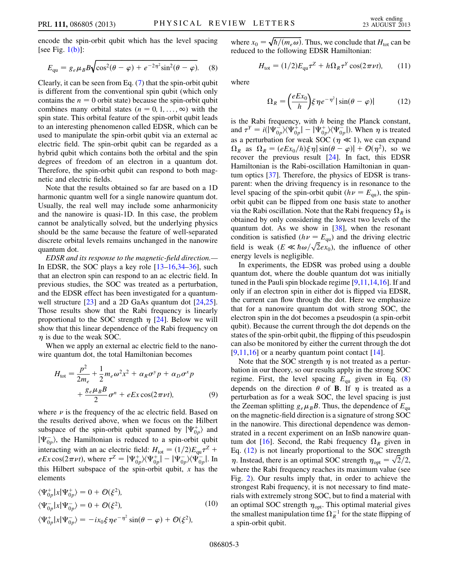<span id="page-2-0"></span>encode the spin-orbit qubit which has the level spacing [see Fig.  $1(b)$ ]:

$$
E_{\text{qu}} = g_e \mu_B B \sqrt{\cos^2(\theta - \varphi) + e^{-2\eta^2} \sin^2(\theta - \varphi)}.
$$
 (8)

Clearly, it can be seen from Eq. [\(7](#page-1-2)) that the spin-orbit qubit is different from the conventional spin qubit (which only contains the  $n = 0$  orbit state) because the spin-orbit qubit combines many orbital states ( $n = 0, 1, \ldots, \infty$ ) with the spin state. This orbital feature of the spin-orbit qubit leads to an interesting phenomenon called EDSR, which can be used to manipulate the spin-orbit qubit via an external ac electric field. The spin-orbit qubit can be regarded as a hybrid qubit which contains both the orbital and the spin degrees of freedom of an electron in a quantum dot. Therefore, the spin-orbit qubit can respond to both magnetic and electric fields.

Note that the results obtained so far are based on a 1D harmonic quantm well for a single nanowire quantum dot. Usually, the real well may include some anharmonicity and the nanowire is quasi-1D. In this case, the problem cannot be analytically solved, but the underlying physics should be the same because the feature of well-separated discrete orbital levels remains unchanged in the nanowire quantum dot.

EDSR and its response to the magnetic-field direction.— In EDSR, the SOC plays a key role  $[13–16,34–36]$  $[13–16,34–36]$  $[13–16,34–36]$  $[13–16,34–36]$  $[13–16,34–36]$ , such that an electron spin can respond to an ac electric field. In previous studies, the SOC was treated as a perturbation, and the EDSR effect has been investigated for a quantum-well structure [[23](#page-4-15)] and a 2D GaAs quantum dot [\[24](#page-4-26)[,25\]](#page-4-27). Those results show that the Rabi frequency is linearly proportional to the SOC strength  $\eta$  [\[24\]](#page-4-26). Below we will show that this linear dependence of the Rabi frequency on  $\eta$  is due to the weak SOC.

When we apply an external ac electric field to the nanowire quantum dot, the total Hamiltonian becomes

$$
H_{\text{tot}} = \frac{p^2}{2m_e} + \frac{1}{2}m_e\omega^2 x^2 + \alpha_R \sigma^y p + \alpha_D \sigma^x p
$$

$$
+ \frac{g_e \mu_B B}{2} \sigma^n + eEx \cos(2\pi \nu t), \tag{9}
$$

where  $\nu$  is the frequency of the ac electric field. Based on the results derived above, when we focus on the Hilbert subspace of the spin-orbit qubit spanned by  $|\Psi_{0p}^{+}\rangle$  and  $|\Psi_{0p}^-\rangle$ , the Hamiltonian is reduced to a spin-orbit qubit interacting with an ac electric field:  $H_{\text{tot}} = (1/2)E_{\text{qu}}\tau^Z +$  $eEx \cos(2\pi\nu t)$ , where  $\tau^Z = |\Psi_{0p}^+\rangle \langle \Psi_{0p}^+| - |\Psi_{0p}^-\rangle \langle \Psi_{0p}^-|$ . In this Hilbert subspace of the spin-orbit qubit,  $x$  has the elements

$$
\langle \Psi_{0p}^+ | x | \Psi_{0p}^+ \rangle = 0 + \mathcal{O}(\xi^2),
$$
  

$$
\langle \Psi_{0p}^- | x | \Psi_{0p}^- \rangle = 0 + \mathcal{O}(\xi^2),
$$
  

$$
\langle \Psi_{0p}^+ | x | \Psi_{0p}^- \rangle = -ix_0 \xi \eta e^{-\eta^2} \sin(\theta - \varphi) + \mathcal{O}(\xi^2),
$$
 (10)

where  $x_0 = \sqrt{\hbar/(m_e \omega)}$ . Thus, we conclude that  $H_{\text{tot}}$  can be reduced to the following EDSR Hamiltonian:

$$
H_{\text{tot}} = (1/2)E_{\text{qu}}\tau^Z + h\Omega_R\tau^Y\cos(2\pi\nu t),\qquad(11)
$$

<span id="page-2-1"></span>where

$$
\Omega_R = \left(\frac{eEx_0}{h}\right) \xi \eta e^{-\eta^2} |\sin(\theta - \varphi)| \tag{12}
$$

is the Rabi frequency, with  $h$  being the Planck constant, and  $\tau^Y = i(|\Psi_{0p}^- \rangle \langle \Psi_{0p}^+ | - |\Psi_{0p}^+ \rangle \langle \Psi_{0p}^- |)$ . When  $\eta$  is treated as a perturbation for weak SOC ( $\eta \ll 1$ ), we can expand  $\Omega_R$  as  $\Omega_R = (eEx_0/h)\xi \eta |\sin(\theta - \varphi)| + \mathcal{O}(\eta^2)$ , so we recover the previous result [\[24\]](#page-4-26). In fact, this EDSR Hamiltonian is the Rabi-oscillation Hamiltonian in quantum optics [\[37\]](#page-4-28). Therefore, the physics of EDSR is transparent: when the driving frequency is in resonance to the level spacing of the spin-orbit qubit ( $h\nu = E_{\text{qu}}$ ), the spinorbit qubit can be flipped from one basis state to another via the Rabi oscillation. Note that the Rabi frequency  $\Omega_R$  is obtained by only considering the lowest two levels of the quantum dot. As we show in  $[38]$  $[38]$  $[38]$ , when the resonant condition is satisfied ( $h\nu = E_{\text{qu}}$ ) and the driving electric field is weak  $(E \ll \hbar \omega / \sqrt{2} e x_0)$ , the influence of other energy levels is negligible.

In experiments, the EDSR was probed using a double quantum dot, where the double quantum dot was initially tuned in the Pauli spin blockade regime [\[9](#page-4-5)[,11,](#page-4-7)[14,](#page-4-30)[16\]](#page-4-8). If and only if an electron spin in either dot is flipped via EDSR, the current can flow through the dot. Here we emphasize that for a nanowire quantum dot with strong SOC, the electron spin in the dot becomes a pseudospin (a spin-orbit qubit). Because the current through the dot depends on the states of the spin-orbit qubit, the flipping of this pseudospin can also be monitored by either the current through the dot [\[9,](#page-4-5)[11](#page-4-7)[,16\]](#page-4-8) or a nearby quantum point contact [[14](#page-4-30)].

Note that the SOC strength  $\eta$  is not treated as a perturbation in our theory, so our results apply in the strong SOC regime. First, the level spacing  $E_{qu}$  given in Eq. [\(8\)](#page-2-0) depends on the direction  $\theta$  of **B**. If  $\eta$  is treated as a perturbation as for a weak SOC, the level spacing is just the Zeeman splitting  $g_e\mu_B B$ . Thus, the dependence of  $E_{qu}$ on the magnetic-field direction is a signature of strong SOC in the nanowire. This directional dependence was demonstrated in a recent experiment on an InSb nanowire quan-tum dot [[16\]](#page-4-8). Second, the Rabi frequency  $\Omega_R$  given in Eq. [\(12\)](#page-2-1) is not linearly proportional to the SOC strength  $\eta$ . Instead, there is an optimal SOC strength  $\eta_{opt} = \sqrt{2}/2$ , where the Rabi frequency reaches its maximum value (see Fig. [2\)](#page-3-0). Our results imply that, in order to achieve the strongest Rabi frequency, it is not necessary to find materials with extremely strong SOC, but to find a material with an optimal SOC strength  $\eta_{opt}$ . This optimal material gives the smallest manipulation time  $\Omega_R^{-1}$  for the state flipping of a spin-orbit qubit.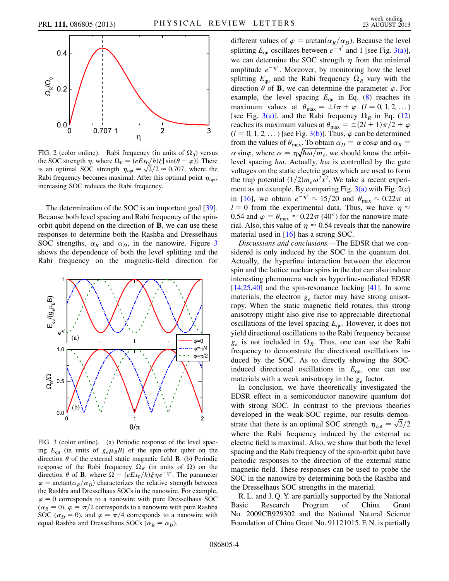<span id="page-3-0"></span>

FIG. 2 (color online). Rabi frequency (in units of  $\Omega_0$ ) versus the SOC strength  $\eta$ , where  $\Omega_0 = (eEx_0/h)\xi |\sin(\theta - \varphi)|$ . There is an optimal SOC strength  $\eta_{opt} = \sqrt{2}/2 \approx 0.707$ , where the Rabi frequency becomes maximal. After this optimal point  $\eta_{\text{opt}}$ , increasing SOC reduces the Rabi frequency.

The determination of the SOC is an important goal [[39\]](#page-4-31). Because both level spacing and Rabi frequency of the spinorbit qubit depend on the direction of B, we can use these responses to determine both the Rashba and Dresselhaus SOC strengths,  $\alpha_R$  and  $\alpha_D$ , in the nanowire. Figure [3](#page-3-1) shows the dependence of both the level splitting and the Rabi frequency on the magnetic-field direction for

<span id="page-3-1"></span>

<span id="page-3-2"></span>FIG. 3 (color online). (a) Periodic response of the level spacing  $E_{\text{qu}}$  (in units of  $g_e\mu_B B$ ) of the spin-orbit qubit on the direction  $\theta$  of the external static magnetic field **B**. (b) Periodic response of the Rabi frequency  $\Omega_R$  (in units of  $\Omega$ ) on the direction  $\theta$  of **B**, where  $\Omega = (eEx_0/h)\xi \eta e^{-\eta^2}$ . The parameter  $\varphi = \arctan(\alpha_R/\alpha_D)$  characterizes the relative strength between the Rashba and Dresselhaus SOCs in the nanowire. For example,  $\varphi = 0$  corresponds to a nanowire with pure Dresselhaus SOC  $(\alpha_R = 0), \varphi = \pi/2$  corresponds to a nanowire with pure Rashba SOC ( $\alpha_D = 0$ ), and  $\varphi = \pi/4$  corresponds to a nanowire with equal Rashba and Dresselhaus SOCs ( $\alpha_R = \alpha_D$ ).

different values of  $\varphi = \arctan(\alpha_R/\alpha_D)$ . Because the level splitting  $E_{\text{qu}}$  oscillates between  $e^{-\eta^2}$  and 1 [see Fig. [3\(a\)\]](#page-3-2), we can determine the SOC strength  $\eta$  from the minimal amplitude  $e^{-\eta^2}$ . Moreover, by monitoring how the level splitting  $E_{\text{qu}}$  and the Rabi frequency  $\Omega_R$  vary with the direction  $\theta$  of **B**, we can determine the parameter  $\varphi$ . For example, the level spacing  $E_{\text{qu}}$  in Eq. ([8\)](#page-2-0) reaches its maximum values at  $\theta_{\text{max}} = \pm l \pi + \varphi \quad (l = 0, 1, 2, ...)$ [see Fig. [3\(a\)](#page-3-2)], and the Rabi frequency  $\Omega_R$  in Eq. [\(12\)](#page-2-1) reaches its maximum values at  $\theta_{\text{max}} = \pm (2l + 1)\pi/2 + \varphi$  $(l = 0, 1, 2, ...)$  [see Fig. [3\(b\)\]](#page-3-2). Thus,  $\varphi$  can be determined from the values of  $\theta_{\text{max}}$ . To obtain  $\alpha_D = \alpha \cos \varphi$  and  $\alpha_R =$  $\alpha \sin\varphi$ , where  $\alpha = \eta \sqrt{\hbar \omega / m_e}$ , we should know the orbitlevel spacing  $\hbar \omega$ . Actually,  $\hbar \omega$  is controlled by the gate voltages on the static electric gates which are used to form the trap potential  $\left(\frac{1}{2}\right)m_e\omega^2x^2$ . We take a recent experiment as an example. By comparing Fig.  $3(a)$  with Fig.  $2(c)$ in [[16](#page-4-8)], we obtain  $e^{-\eta^2} \approx 15/20$  and  $\theta_{\text{max}} \approx 0.22\pi$  at  $l = 0$  from the experimental data. Thus, we have  $\eta \approx$ 0.54 and  $\varphi = \theta_{\text{max}} \approx 0.22 \pi (40^{\circ})$  for the nanowire material. Also, this value of  $\eta \approx 0.54$  reveals that the nanowire material used in [\[16\]](#page-4-8) has a strong SOC.

Discussions and conclusions.—The EDSR that we considered is only induced by the SOC in the quantum dot. Actually, the hyperfine interaction between the electron spin and the lattice nuclear spins in the dot can also induce interesting phenomena such as hyperfine-mediated EDSR  $[14,25,40]$  $[14,25,40]$  $[14,25,40]$  $[14,25,40]$  and the spin-resonance locking  $[41]$  $[41]$ . In some materials, the electron  $g_e$  factor may have strong anisotropy. When the static magnetic field rotates, this strong anisotropy might also give rise to appreciable directional oscillations of the level spacing  $E_{\text{qu}}$ . However, it does not yield directional oscillations to the Rabi frequency because  $g_e$  is not included in  $\Omega_R$ . Thus, one can use the Rabi frequency to demonstrate the directional oscillations induced by the SOC. As to directly showing the SOCinduced directional oscillations in  $E_{qu}$ , one can use materials with a weak anisotropy in the  $g_e$  factor.

In conclusion, we have theoretically investigated the EDSR effect in a semiconductor nanowire quantum dot with strong SOC. In contrast to the previous theories developed in the weak-SOC regime, our results demonstrate that there is an optimal SOC strength  $\eta_{\text{opt}} = \sqrt{2}/2$ where the Rabi frequency induced by the external ac electric field is maximal. Also, we show that both the level spacing and the Rabi frequency of the spin-orbit qubit have periodic responses to the direction of the external static magnetic field. These responses can be used to probe the SOC in the nanowire by determining both the Rashba and the Dresselhaus SOC strengths in the material.

R. L. and J. Q. Y. are partially supported by the National Basic Research Program of China Grant No. 2009CB929302 and the National Natural Science Foundation of China Grant No. 91121015. F. N. is partially